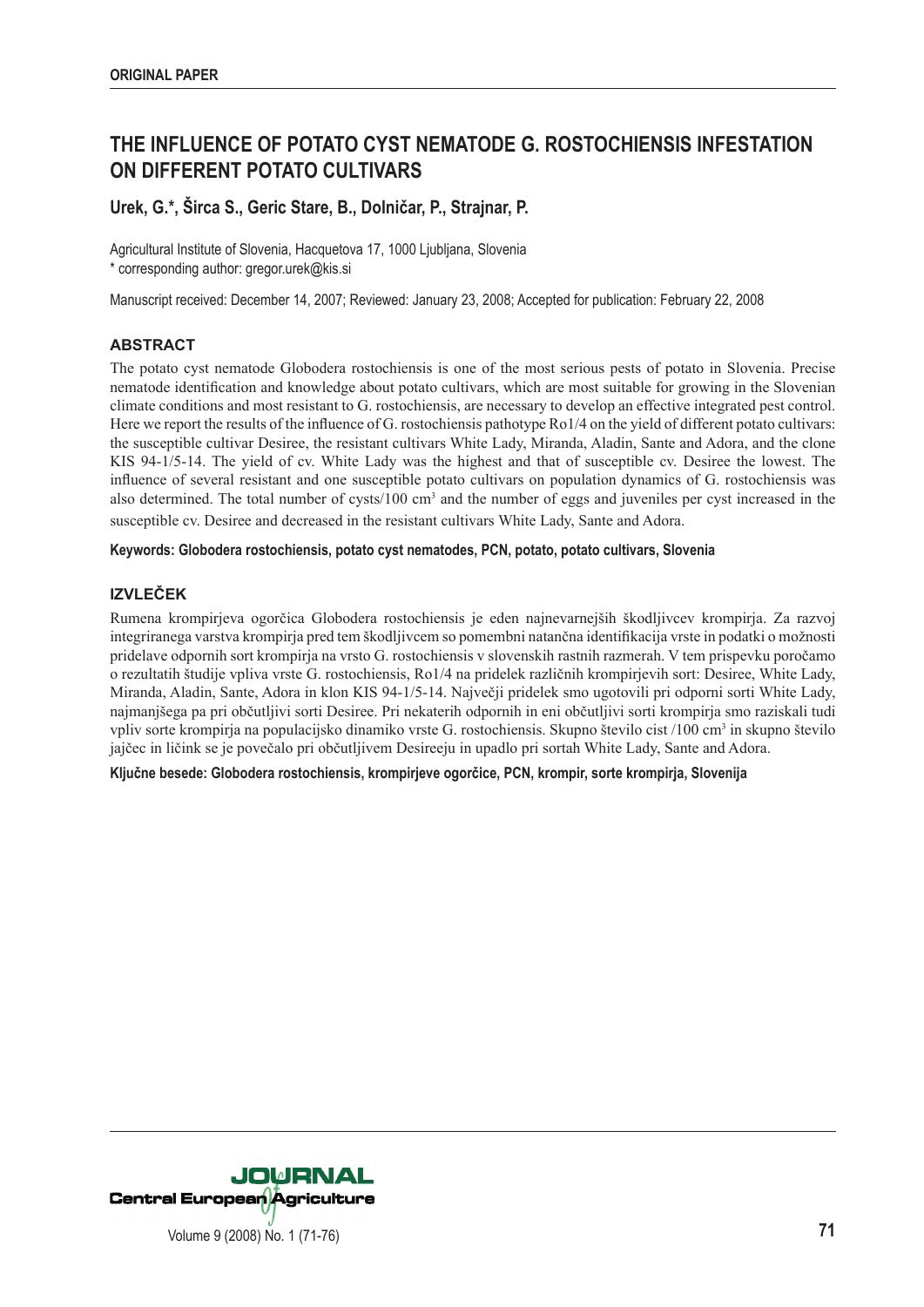# **THE INFLUENCE OF POTATO CYST NEMATODE G. ROSTOCHIENSIS INFESTATION ON DIFFERENT POTATO CULTIVARS**

# **Urek, G.\*, Širca S., Geric Stare, B., Dolničar, P., Strajnar, P.**

Agricultural Institute of Slovenia, Hacquetova 17, 1000 Ljubljana, Slovenia \* corresponding author: gregor.urek@kis.si

Manuscript received: December 14, 2007; Reviewed: January 23, 2008; Accepted for publication: February 22, 2008

## **ABSTRACT**

The potato cyst nematode Globodera rostochiensis is one of the most serious pests of potato in Slovenia. Precise nematode identification and knowledge about potato cultivars, which are most suitable for growing in the Slovenian climate conditions and most resistant to G. rostochiensis, are necessary to develop an effective integrated pest control. Here we report the results of the influence of G. rostochiensis pathotype Ro1/4 on the yield of different potato cultivars: the susceptible cultivar Desiree, the resistant cultivars White Lady, Miranda, Aladin, Sante and Adora, and the clone KIS 94-1/5-14. The yield of cv. White Lady was the highest and that of susceptible cv. Desiree the lowest. The influence of several resistant and one susceptible potato cultivars on population dynamics of G. rostochiensis was also determined. The total number of cysts/100  $\text{cm}^3$  and the number of eggs and juveniles per cyst increased in the susceptible cv. Desiree and decreased in the resistant cultivars White Lady, Sante and Adora.

#### **Keywords: Globodera rostochiensis, potato cyst nematodes, PCN, potato, potato cultivars, Slovenia**

## **IZVLEČEK**

Rumena krompirjeva ogorčica Globodera rostochiensis je eden najnevarnejših škodljivcev krompirja. Za razvoj integriranega varstva krompirja pred tem škodljivcem so pomembni natančna identifikacija vrste in podatki o možnosti pridelave odpornih sort krompirja na vrsto G. rostochiensis v slovenskih rastnih razmerah. V tem prispevku poročamo o rezultatih študije vpliva vrste G. rostochiensis, Ro1/4 na pridelek različnih krompirjevih sort: Desiree, White Lady, Miranda, Aladin, Sante, Adora in klon KIS 94-1/5-14. Največji pridelek smo ugotovili pri odporni sorti White Lady, najmanjšega pa pri občutljivi sorti Desiree. Pri nekaterih odpornih in eni občutljivi sorti krompirja smo raziskali tudi vpliv sorte krompirja na populacijsko dinamiko vrste G. rostochiensis. Skupno število cist /100 cm<sup>3</sup> in skupno število jajčec in ličink se je povečalo pri občutljivem Desireeju in upadlo pri sortah White Lady, Sante and Adora.

**Ključne besede: Globodera rostochiensis, krompirjeve ogorčice, PCN, krompir, sorte krompirja, Slovenija**

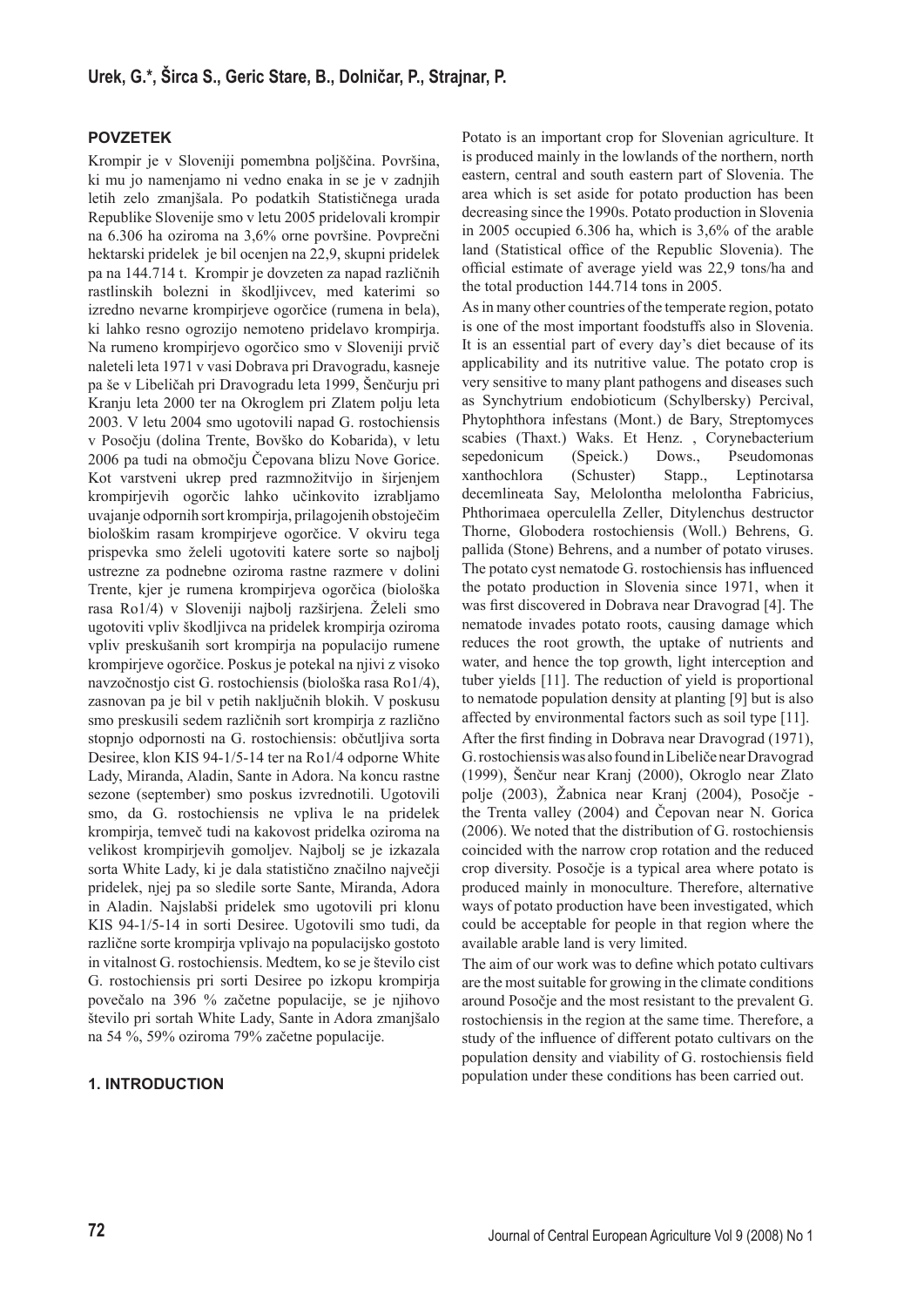#### **POVZETEK**

Krompir je v Sloveniji pomembna poljščina. Površina, ki mu jo namenjamo ni vedno enaka in se je v zadnjih letih zelo zmanjšala. Po podatkih Statističnega urada Republike Slovenije smo v letu 2005 pridelovali krompir na 6.306 ha oziroma na 3,6% orne površine. Povprečni hektarski pridelek je bil ocenjen na 22,9, skupni pridelek pa na 144.714 t. Krompir je dovzeten za napad različnih rastlinskih bolezni in škodljivcev, med katerimi so izredno nevarne krompirjeve ogorčice (rumena in bela), ki lahko resno ogrozijo nemoteno pridelavo krompirja. Na rumeno krompirjevo ogorčico smo v Sloveniji prvič naleteli leta 1971 v vasi Dobrava pri Dravogradu, kasneje pa še v Libeličah pri Dravogradu leta 1999, Šenčurju pri Kranju leta 2000 ter na Okroglem pri Zlatem polju leta 2003. V letu 2004 smo ugotovili napad G. rostochiensis v Posočju (dolina Trente, Bovško do Kobarida), v letu 2006 pa tudi na območju Čepovana blizu Nove Gorice. Kot varstveni ukrep pred razmnožitvijo in širjenjem krompirjevih ogorčic lahko učinkovito izrabljamo uvajanje odpornih sort krompirja, prilagojenih obstoječim biološkim rasam krompirjeve ogorčice. V okviru tega prispevka smo želeli ugotoviti katere sorte so najbolj ustrezne za podnebne oziroma rastne razmere v dolini Trente, kjer je rumena krompirjeva ogorčica (biološka rasa Ro1/4) v Sloveniji najbolj razširjena. Želeli smo ugotoviti vpliv škodljivca na pridelek krompirja oziroma vpliv preskušanih sort krompirja na populacijo rumene krompirjeve ogorčice. Poskus je potekal na njivi z visoko navzočnostjo cist G. rostochiensis (biološka rasa Ro1/4), zasnovan pa je bil v petih naključnih blokih. V poskusu smo preskusili sedem različnih sort krompirja z različno stopnjo odpornosti na G. rostochiensis: občutljiva sorta Desiree, klon KIS 94-1/5-14 ter na Ro1/4 odporne White Lady, Miranda, Aladin, Sante in Adora. Na koncu rastne sezone (september) smo poskus izvrednotili. Ugotovili smo, da G. rostochiensis ne vpliva le na pridelek krompirja, temveč tudi na kakovost pridelka oziroma na velikost krompirjevih gomoljev. Najbolj se je izkazala sorta White Lady, ki je dala statistično značilno največji pridelek, njej pa so sledile sorte Sante, Miranda, Adora in Aladin. Najslabši pridelek smo ugotovili pri klonu KIS 94-1/5-14 in sorti Desiree. Ugotovili smo tudi, da različne sorte krompirja vplivajo na populacijsko gostoto in vitalnost G. rostochiensis. Medtem, ko se je število cist G. rostochiensis pri sorti Desiree po izkopu krompirja povečalo na 396 % začetne populacije, se je njihovo število pri sortah White Lady, Sante in Adora zmanjšalo na 54 %, 59% oziroma 79% začetne populacije.

### **1. INTRODUCTION**

Potato is an important crop for Slovenian agriculture. It is produced mainly in the lowlands of the northern, north eastern, central and south eastern part of Slovenia. The area which is set aside for potato production has been decreasing since the 1990s. Potato production in Slovenia in 2005 occupied 6.306 ha, which is 3,6% of the arable land (Statistical office of the Republic Slovenia). The official estimate of average yield was 22,9 tons/ha and the total production 144.714 tons in 2005.

As in many other countries of the temperate region, potato is one of the most important foodstuffs also in Slovenia. It is an essential part of every day's diet because of its applicability and its nutritive value. The potato crop is very sensitive to many plant pathogens and diseases such as Synchytrium endobioticum (Schylbersky) Percival, Phytophthora infestans (Mont.) de Bary, Streptomyces scabies (Thaxt.) Waks. Et Henz. , Corynebacterium sepedonicum (Speick.) Dows., Pseudomonas xanthochlora (Schuster) Stapp., Leptinotarsa decemlineata Say, Melolontha melolontha Fabricius, Phthorimaea operculella Zeller, Ditylenchus destructor Thorne, Globodera rostochiensis (Woll.) Behrens, G. pallida (Stone) Behrens, and a number of potato viruses. The potato cyst nematode G. rostochiensis has influenced the potato production in Slovenia since 1971, when it was first discovered in Dobrava near Dravograd [4]. The nematode invades potato roots, causing damage which reduces the root growth, the uptake of nutrients and water, and hence the top growth, light interception and tuber yields [11]. The reduction of yield is proportional to nematode population density at planting [9] but is also affected by environmental factors such as soil type [11]. After the first finding in Dobrava near Dravograd (1971), G. rostochiensis was also found in Libeliče near Dravograd (1999), Šenčur near Kranj (2000), Okroglo near Zlato polje (2003), Žabnica near Kranj (2004), Posočje the Trenta valley (2004) and Čepovan near N. Gorica (2006). We noted that the distribution of G. rostochiensis coincided with the narrow crop rotation and the reduced crop diversity. Posočje is a typical area where potato is produced mainly in monoculture. Therefore, alternative ways of potato production have been investigated, which could be acceptable for people in that region where the available arable land is very limited.

The aim of our work was to define which potato cultivars are the most suitable for growing in the climate conditions around Posočje and the most resistant to the prevalent G. rostochiensis in the region at the same time. Therefore, a study of the influence of different potato cultivars on the population density and viability of G. rostochiensis field population under these conditions has been carried out.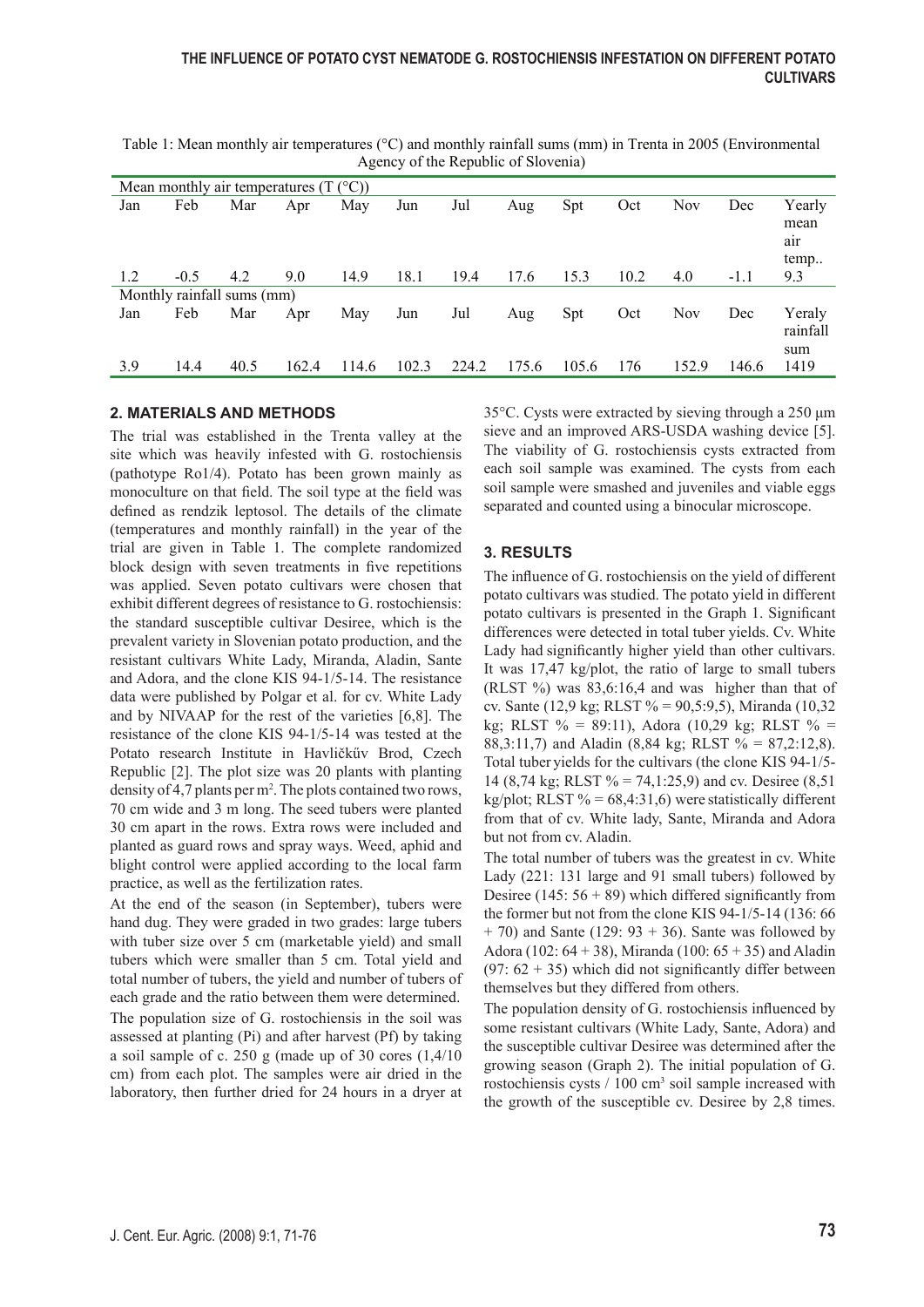| Mean monthly air temperatures $(T (^{\circ}C))$ |        |      |       |       |       |       |       |       |      |            |        |                               |
|-------------------------------------------------|--------|------|-------|-------|-------|-------|-------|-------|------|------------|--------|-------------------------------|
| Jan                                             | Feb    | Mar  | Apr   | May   | Jun   | Jul   | Aug   | Spt   | Oct  | <b>Nov</b> | Dec    | Yearly<br>mean<br>air<br>temp |
| 1.2                                             | $-0.5$ | 4.2  | 9.0   | 14.9  | 18.1  | 19.4  | 17.6  | 15.3  | 10.2 | 4.0        | $-1.1$ | 9.3                           |
| Monthly rainfall sums (mm)                      |        |      |       |       |       |       |       |       |      |            |        |                               |
| Jan                                             | Feb    | Mar  | Apr   | May   | Jun   | Jul   | Aug   | Spt   | Oct  | <b>Nov</b> | Dec    | Yeraly<br>rainfall<br>sum     |
| 3.9                                             | 14.4   | 40.5 | 162.4 | 114.6 | 102.3 | 224.2 | 175.6 | 105.6 | 176  | 152.9      | 146.6  | 1419                          |

Table 1: Mean monthly air temperatures (°C) and monthly rainfall sums (mm) in Trenta in 2005 (Environmental Agency of the Republic of Slovenia)

### **2. MATERIALS AND METHODS**

The trial was established in the Trenta valley at the site which was heavily infested with G. rostochiensis (pathotype Ro1/4). Potato has been grown mainly as monoculture on that field. The soil type at the field was defined as rendzik leptosol. The details of the climate (temperatures and monthly rainfall) in the year of the trial are given in Table 1. The complete randomized block design with seven treatments in five repetitions was applied. Seven potato cultivars were chosen that exhibit different degrees of resistance to G. rostochiensis: the standard susceptible cultivar Desiree, which is the prevalent variety in Slovenian potato production, and the resistant cultivars White Lady, Miranda, Aladin, Sante and Adora, and the clone KIS 94-1/5-14. The resistance data were published by Polgar et al. for cv. White Lady and by NIVAAP for the rest of the varieties [6,8]. The resistance of the clone KIS 94-1/5-14 was tested at the Potato research Institute in Havličkűv Brod, Czech Republic [2]. The plot size was 20 plants with planting density of 4,7 plants per m<sup>2</sup>. The plots contained two rows, 70 cm wide and 3 m long. The seed tubers were planted 30 cm apart in the rows. Extra rows were included and planted as guard rows and spray ways. Weed, aphid and blight control were applied according to the local farm practice, as well as the fertilization rates.

At the end of the season (in September), tubers were hand dug. They were graded in two grades: large tubers with tuber size over 5 cm (marketable yield) and small tubers which were smaller than 5 cm. Total yield and total number of tubers, the yield and number of tubers of each grade and the ratio between them were determined. The population size of G. rostochiensis in the soil was assessed at planting (Pi) and after harvest (Pf) by taking a soil sample of c. 250 g (made up of 30 cores (1,4/10 cm) from each plot. The samples were air dried in the laboratory, then further dried for 24 hours in a dryer at

35°C. Cysts were extracted by sieving through a 250 μm sieve and an improved ARS-USDA washing device [5]. The viability of G. rostochiensis cysts extracted from each soil sample was examined. The cysts from each soil sample were smashed and juveniles and viable eggs separated and counted using a binocular microscope.

### **3. RESULTS**

The influence of G. rostochiensis on the yield of different potato cultivars was studied. The potato yield in different potato cultivars is presented in the Graph 1. Significant differences were detected in total tuber yields. Cv. White Lady had significantly higher yield than other cultivars. It was 17,47 kg/plot, the ratio of large to small tubers (RLST %) was 83,6:16,4 and was higher than that of cv. Sante (12.9 kg; RLST  $% = 90.5:9.5$ ), Miranda (10.32) kg; RLST  $\% = 89:11$ ), Adora (10,29 kg; RLST  $\% =$ 88,3:11,7) and Aladin (8,84 kg; RLST  $\% = 87,2:12,8$ ). Total tuber yields for the cultivars (the clone KIS 94-1/5- 14 (8,74 kg; RLST  $\% = 74,1:25,9$ ) and cv. Desiree (8,51) kg/plot; RLST  $\% = 68,4:31,6$ ) were statistically different from that of cv. White lady, Sante, Miranda and Adora but not from cv. Aladin.

The total number of tubers was the greatest in cv. White Lady (221: 131 large and 91 small tubers) followed by Desiree (145:  $56 + 89$ ) which differed significantly from the former but not from the clone KIS 94-1/5-14 (136: 66  $+$  70) and Sante (129: 93  $+$  36). Sante was followed by Adora (102:  $64 + 38$ ), Miranda (100:  $65 + 35$ ) and Aladin  $(97: 62 + 35)$  which did not significantly differ between themselves but they differed from others.

The population density of G. rostochiensis influenced by some resistant cultivars (White Lady, Sante, Adora) and the susceptible cultivar Desiree was determined after the growing season (Graph 2). The initial population of G. rostochiensis cysts / 100 cm<sup>3</sup> soil sample increased with the growth of the susceptible cv. Desiree by 2,8 times.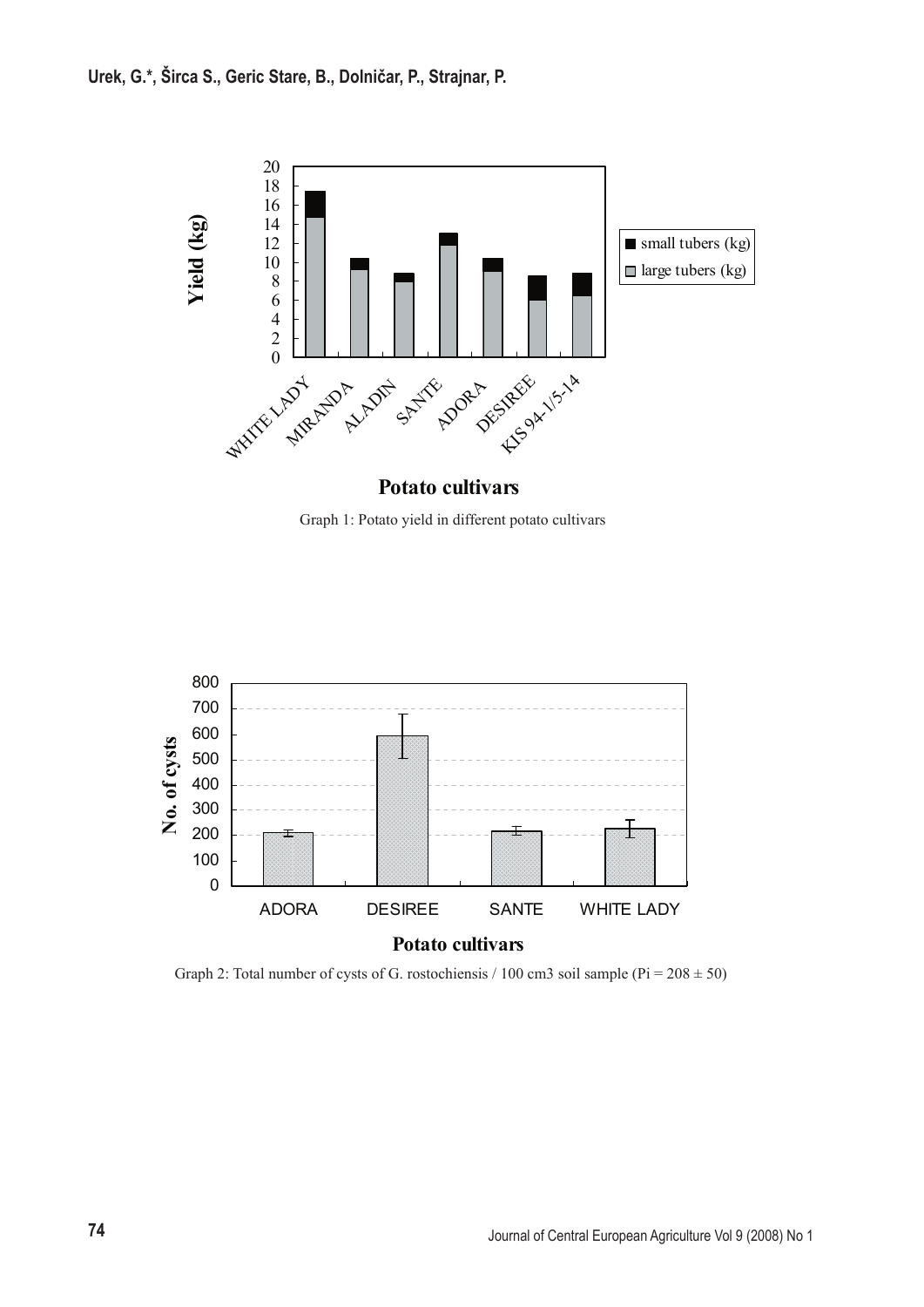

Graph 1: Potato yield in different potato cultivars



Graph 2: Total number of cysts of G. rostochiensis / 100 cm3 soil sample ( $Pi = 208 \pm 50$ )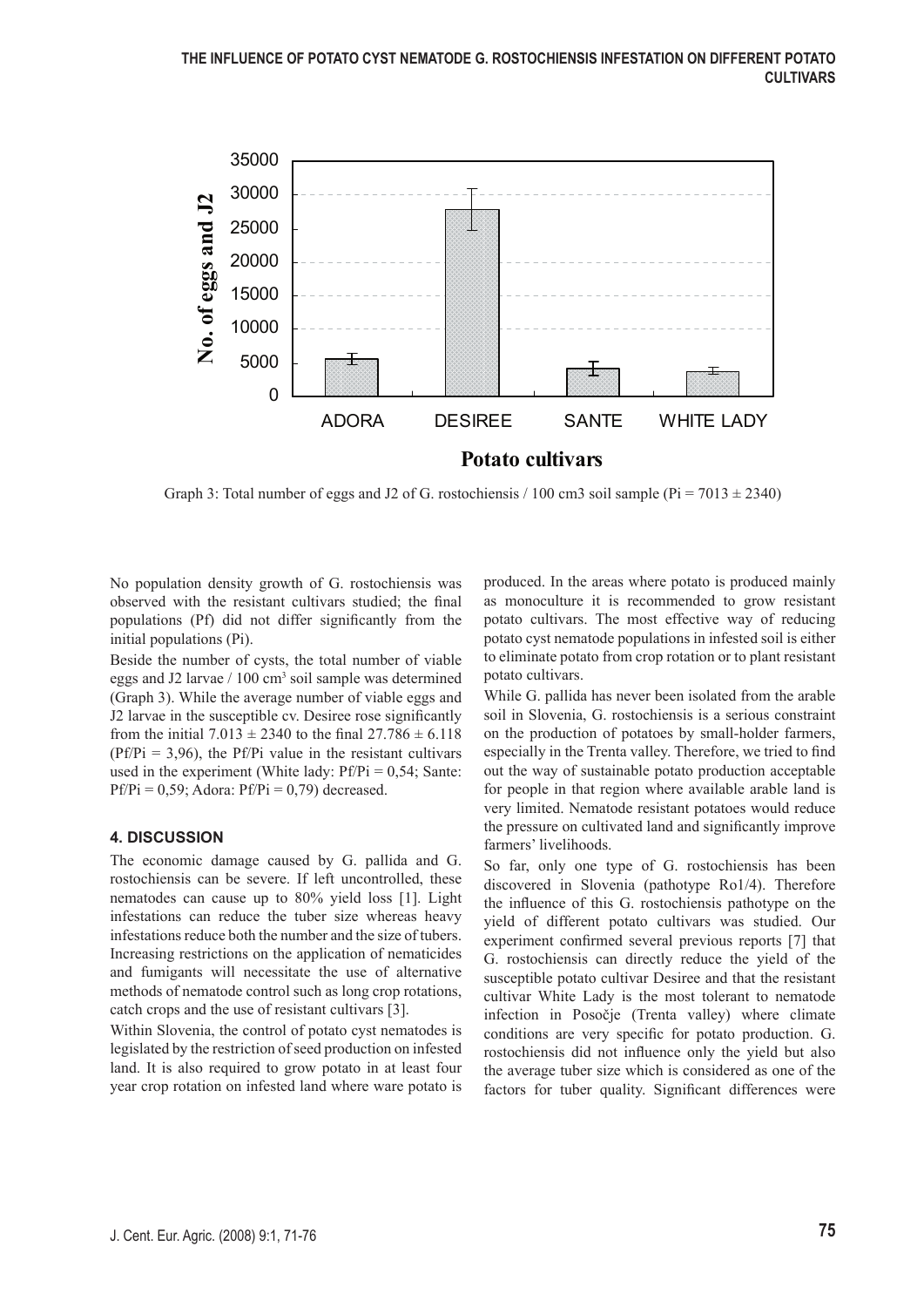

Graph 3: Total number of eggs and J2 of G. rostochiensis / 100 cm3 soil sample ( $Pi = 7013 \pm 2340$ )

No population density growth of G. rostochiensis was observed with the resistant cultivars studied; the final populations (Pf) did not differ significantly from the initial populations (Pi).

Beside the number of cysts, the total number of viable eggs and J2 larvae / 100 cm<sup>3</sup> soil sample was determined (Graph 3). While the average number of viable eggs and J2 larvae in the susceptible cv. Desiree rose significantly from the initial  $7.013 \pm 2340$  to the final  $27.786 \pm 6.118$  $(Pf/Pi = 3.96)$ , the Pf/Pi value in the resistant cultivars used in the experiment (White lady:  $Pf/Pi = 0.54$ ; Sante:  $Pf/Pi = 0.59$ ; Adora:  $Pf/Pi = 0.79$ ) decreased.

### **4. DISCUSSION**

The economic damage caused by G. pallida and G. rostochiensis can be severe. If left uncontrolled, these nematodes can cause up to 80% yield loss [1]. Light infestations can reduce the tuber size whereas heavy infestations reduce both the number and the size of tubers. Increasing restrictions on the application of nematicides and fumigants will necessitate the use of alternative methods of nematode control such as long crop rotations, catch crops and the use of resistant cultivars [3].

Within Slovenia, the control of potato cyst nematodes is legislated by the restriction of seed production on infested land. It is also required to grow potato in at least four year crop rotation on infested land where ware potato is

produced. In the areas where potato is produced mainly as monoculture it is recommended to grow resistant potato cultivars. The most effective way of reducing potato cyst nematode populations in infested soil is either to eliminate potato from crop rotation or to plant resistant potato cultivars.

While G. pallida has never been isolated from the arable soil in Slovenia, G. rostochiensis is a serious constraint on the production of potatoes by small-holder farmers, especially in the Trenta valley. Therefore, we tried to find out the way of sustainable potato production acceptable for people in that region where available arable land is very limited. Nematode resistant potatoes would reduce the pressure on cultivated land and significantly improve farmers' livelihoods.

So far, only one type of G. rostochiensis has been discovered in Slovenia (pathotype Ro1/4). Therefore the influence of this G. rostochiensis pathotype on the yield of different potato cultivars was studied. Our experiment confirmed several previous reports [7] that G. rostochiensis can directly reduce the yield of the susceptible potato cultivar Desiree and that the resistant cultivar White Lady is the most tolerant to nematode infection in Posočje (Trenta valley) where climate conditions are very specific for potato production. G. rostochiensis did not influence only the yield but also the average tuber size which is considered as one of the factors for tuber quality. Significant differences were